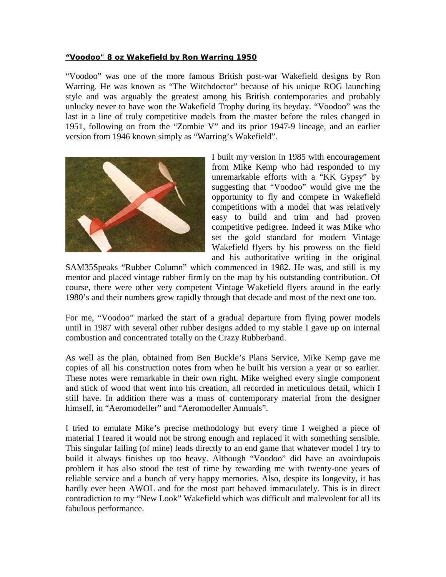## **"Voodoo" 8 oz Wakefield by Ron Warring 1950**

"Voodoo" was one of the more famous British post-war Wakefield designs by Ron Warring. He was known as "The Witchdoctor" because of his unique ROG launching style and was arguably the greatest among his British contemporaries and probably unlucky never to have won the Wakefield Trophy during its heyday. "Voodoo" was the last in a line of truly competitive models from the master before the rules changed in 1951, following on from the "Zombie V" and its prior 1947-9 lineage, and an earlier version from 1946 known simply as "Warring's Wakefield".



I built my version in 1985 with encouragement from Mike Kemp who had responded to my unremarkable efforts with a "KK Gypsy" by suggesting that "Voodoo" would give me the opportunity to fly and compete in Wakefield competitions with a model that was relatively easy to build and trim and had proven competitive pedigree. Indeed it was Mike who set the gold standard for modern Vintage Wakefield flyers by his prowess on the field and his authoritative writing in the original

SAM35Speaks "Rubber Column" which commenced in 1982. He was, and still is my mentor and placed vintage rubber firmly on the map by his outstanding contribution. Of course, there were other very competent Vintage Wakefield flyers around in the early 1980's and their numbers grew rapidly through that decade and most of the next one too.

For me, "Voodoo" marked the start of a gradual departure from flying power models until in 1987 with several other rubber designs added to my stable I gave up on internal combustion and concentrated totally on the Crazy Rubberband.

As well as the plan, obtained from Ben Buckle's Plans Service, Mike Kemp gave me copies of all his construction notes from when he built his version a year or so earlier. These notes were remarkable in their own right. Mike weighed every single component and stick of wood that went into his creation, all recorded in meticulous detail, which I still have. In addition there was a mass of contemporary material from the designer himself, in "Aeromodeller" and "Aeromodeller Annuals".

I tried to emulate Mike's precise methodology but every time I weighed a piece of material I feared it would not be strong enough and replaced it with something sensible. This singular failing (of mine) leads directly to an end game that whatever model I try to build it always finishes up too heavy. Although "Voodoo" did have an avoirdupois problem it has also stood the test of time by rewarding me with twenty-one years of reliable service and a bunch of very happy memories. Also, despite its longevity, it has hardly ever been AWOL and for the most part behaved immaculately. This is in direct contradiction to my "New Look" Wakefield which was difficult and malevolent for all its fabulous performance.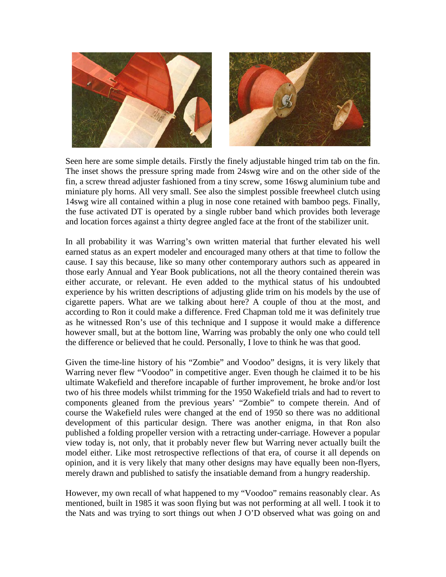

Seen here are some simple details. Firstly the finely adjustable hinged trim tab on the fin. The inset shows the pressure spring made from 24swg wire and on the other side of the fin, a screw thread adjuster fashioned from a tiny screw, some 16swg aluminium tube and miniature ply horns. All very small. See also the simplest possible freewheel clutch using 14swg wire all contained within a plug in nose cone retained with bamboo pegs. Finally, the fuse activated DT is operated by a single rubber band which provides both leverage and location forces against a thirty degree angled face at the front of the stabilizer unit.

In all probability it was Warring's own written material that further elevated his well earned status as an expert modeler and encouraged many others at that time to follow the cause. I say this because, like so many other contemporary authors such as appeared in those early Annual and Year Book publications, not all the theory contained therein was either accurate, or relevant. He even added to the mythical status of his undoubted experience by his written descriptions of adjusting glide trim on his models by the use of cigarette papers. What are we talking about here? A couple of thou at the most, and according to Ron it could make a difference. Fred Chapman told me it was definitely true as he witnessed Ron's use of this technique and I suppose it would make a difference however small, but at the bottom line, Warring was probably the only one who could tell the difference or believed that he could. Personally, I love to think he was that good.

Given the time-line history of his "Zombie" and Voodoo" designs, it is very likely that Warring never flew "Voodoo" in competitive anger. Even though he claimed it to be his ultimate Wakefield and therefore incapable of further improvement, he broke and/or lost two of his three models whilst trimming for the 1950 Wakefield trials and had to revert to components gleaned from the previous years' "Zombie" to compete therein. And of course the Wakefield rules were changed at the end of 1950 so there was no additional development of this particular design. There was another enigma, in that Ron also published a folding propeller version with a retracting under-carriage. However a popular view today is, not only, that it probably never flew but Warring never actually built the model either. Like most retrospective reflections of that era, of course it all depends on opinion, and it is very likely that many other designs may have equally been non-flyers, merely drawn and published to satisfy the insatiable demand from a hungry readership.

However, my own recall of what happened to my "Voodoo" remains reasonably clear. As mentioned, built in 1985 it was soon flying but was not performing at all well. I took it to the Nats and was trying to sort things out when J O'D observed what was going on and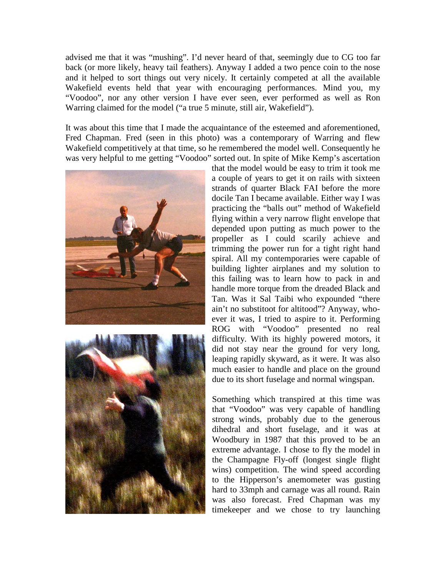advised me that it was "mushing". I'd never heard of that, seemingly due to CG too far back (or more likely, heavy tail feathers). Anyway I added a two pence coin to the nose and it helped to sort things out very nicely. It certainly competed at all the available Wakefield events held that year with encouraging performances. Mind you, my "Voodoo", nor any other version I have ever seen, ever performed as well as Ron Warring claimed for the model ("a true 5 minute, still air, Wakefield").

It was about this time that I made the acquaintance of the esteemed and aforementioned, Fred Chapman. Fred (seen in this photo) was a contemporary of Warring and flew Wakefield competitively at that time, so he remembered the model well. Consequently he was very helpful to me getting "Voodoo" sorted out. In spite of Mike Kemp's ascertation





that the model would be easy to trim it took me a couple of years to get it on rails with sixteen strands of quarter Black FAI before the more docile Tan I became available. Either way I was practicing the "balls out" method of Wakefield flying within a very narrow flight envelope that depended upon putting as much power to the propeller as I could scarily achieve and trimming the power run for a tight right hand spiral. All my contemporaries were capable of building lighter airplanes and my solution to this failing was to learn how to pack in and handle more torque from the dreaded Black and Tan. Was it Sal Taibi who expounded "there ain't no substitoot for altitood"? Anyway, whoever it was, I tried to aspire to it. Performing ROG with "Voodoo" presented no real difficulty. With its highly powered motors, it did not stay near the ground for very long, leaping rapidly skyward, as it were. It was also much easier to handle and place on the ground due to its short fuselage and normal wingspan.

Something which transpired at this time was that "Voodoo" was very capable of handling strong winds, probably due to the generous dihedral and short fuselage, and it was at Woodbury in 1987 that this proved to be an extreme advantage. I chose to fly the model in the Champagne Fly-off (longest single flight wins) competition. The wind speed according to the Hipperson's anemometer was gusting hard to 33mph and carnage was all round. Rain was also forecast. Fred Chapman was my timekeeper and we chose to try launching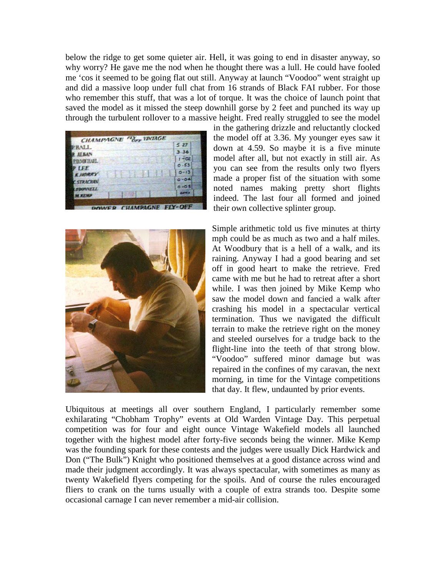below the ridge to get some quieter air. Hell, it was going to end in disaster anyway, so why worry? He gave me the nod when he thought there was a lull. He could have fooled me 'cos it seemed to be going flat out still. Anyway at launch "Voodoo" went straight up and did a massive loop under full chat from 16 strands of Black FAI rubber. For those who remember this stuff, that was a lot of torque. It was the choice of launch point that saved the model as it missed the steep downhill gorse by 2 feet and punched its way up through the turbulent rollover to a massive height. Fred really struggled to see the model





in the gathering drizzle and reluctantly clocked the model off at 3.36. My younger eyes saw it down at 4.59. So maybe it is a five minute model after all, but not exactly in still air. As you can see from the results only two flyers made a proper fist of the situation with some noted names making pretty short flights indeed. The last four all formed and joined their own collective splinter group.

Simple arithmetic told us five minutes at thirty mph could be as much as two and a half miles. At Woodbury that is a hell of a walk, and its raining. Anyway I had a good bearing and set off in good heart to make the retrieve. Fred came with me but he had to retreat after a short while. I was then joined by Mike Kemp who saw the model down and fancied a walk after crashing his model in a spectacular vertical termination. Thus we navigated the difficult terrain to make the retrieve right on the money and steeled ourselves for a trudge back to the flight-line into the teeth of that strong blow. "Voodoo" suffered minor damage but was repaired in the confines of my caravan, the next morning, in time for the Vintage competitions that day. It flew, undaunted by prior events.

Ubiquitous at meetings all over southern England, I particularly remember some exhilarating "Chobham Trophy" events at Old Warden Vintage Day. This perpetual competition was for four and eight ounce Vintage Wakefield models all launched together with the highest model after forty-five seconds being the winner. Mike Kemp was the founding spark for these contests and the judges were usually Dick Hardwick and Don ("The Bulk") Knight who positioned themselves at a good distance across wind and made their judgment accordingly. It was always spectacular, with sometimes as many as twenty Wakefield flyers competing for the spoils. And of course the rules encouraged fliers to crank on the turns usually with a couple of extra strands too. Despite some occasional carnage I can never remember a mid-air collision.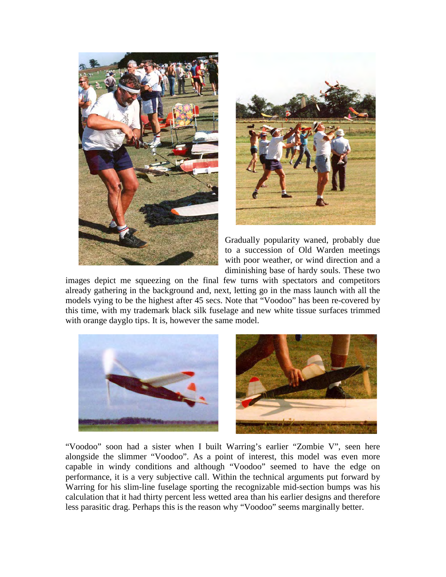



Gradually popularity waned, probably due to a succession of Old Warden meetings with poor weather, or wind direction and a diminishing base of hardy souls. These two

images depict me squeezing on the final few turns with spectators and competitors already gathering in the background and, next, letting go in the mass launch with all the models vying to be the highest after 45 secs. Note that "Voodoo" has been re-covered by this time, with my trademark black silk fuselage and new white tissue surfaces trimmed with orange dayglo tips. It is, however the same model.



"Voodoo" soon had a sister when I built Warring's earlier "Zombie V", seen here alongside the slimmer "Voodoo". As a point of interest, this model was even more capable in windy conditions and although "Voodoo" seemed to have the edge on performance, it is a very subjective call. Within the technical arguments put forward by Warring for his slim-line fuselage sporting the recognizable mid-section bumps was his calculation that it had thirty percent less wetted area than his earlier designs and therefore less parasitic drag. Perhaps this is the reason why "Voodoo" seems marginally better.